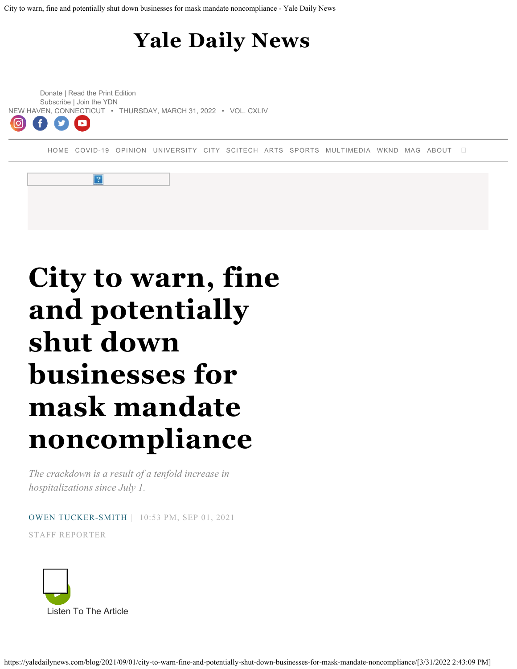## **[Yale Daily News](https://yaledailynews.com/)**

<span id="page-0-0"></span>[Donate |](https://yaledailynews.networkforgood.com/projects/126274-main-giving-page) [Read the Print Edition](https://issuu.com/yaledailynews) [Subscribe](#page-7-0) | [Join the YDN](https://yaledailynews.com/join) [NEW HAVEN, CONNECTICUT • THURSDAY, MARCH 31, 2022 • VOL. CXLIV](https://yaledailynews.com/join)  $\blacksquare$ 

 $|2|$ 

[HOME](https://yaledailynews.com/) [COVID-19](https://yaledailynews.com/blog/category/covid-19/) [OPINION](https://yaledailynews.com/blog/category/opinion/) [UNIVERSITY](https://yaledailynews.com/blog/category/university/) [CITY](https://yaledailynews.com/blog/category/city/) [SCITECH](https://yaledailynews.com/blog/category/sci-tech/) [ARTS](https://yaledailynews.com/blog/category/arts/) [SPORTS](https://yaledailynews.com/blog/category/sports/) [MULTIMEDIA](https://yaledailynews.com/blog/category/multimedia/) [WKND](https://yaledailynews.com/blog/category/wknd/) [MAG](https://yaledailynews.com/blog/category/mag/) [ABOUT](https://yaledailynews.com/about-us)



*The crackdown is a result of a tenfold increase in hospitalizations since July 1.*

[OWEN TUCKER-SMITH](https://yaledailynews.com/blog/author/owentuckersmith/) | 10:53 PM, SEP 01, 2021

STAFF REPORTER

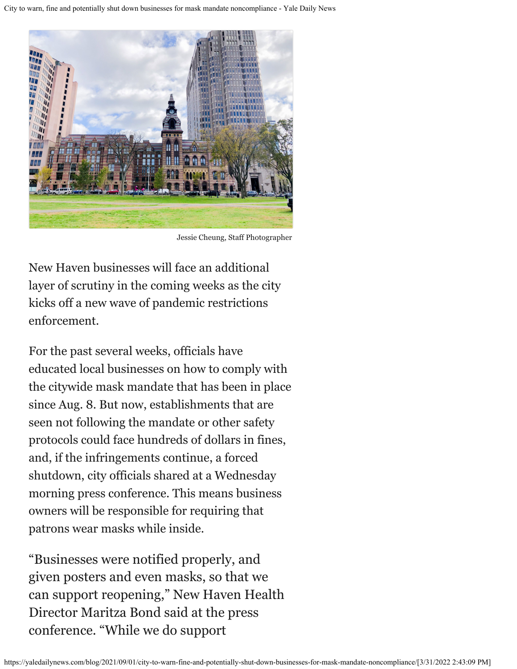

Jessie Cheung, Staff Photographer

New Haven businesses will face an additional layer of scrutiny in the coming weeks as the city kicks off a new wave of pandemic restrictions enforcement.

For the past several weeks, officials have educated local businesses on how to comply with the citywide mask mandate that has been in place since Aug. 8. But now, establishments that are seen not following the mandate or other safety protocols could face hundreds of dollars in fines, and, if the infringements continue, a forced shutdown, city officials shared at a Wednesday morning press conference. This means business owners will be responsible for requiring that patrons wear masks while inside.

"Businesses were notified properly, and given posters and even masks, so that we can support reopening," New Haven Health Director Maritza Bond said at the press conference. "While we do support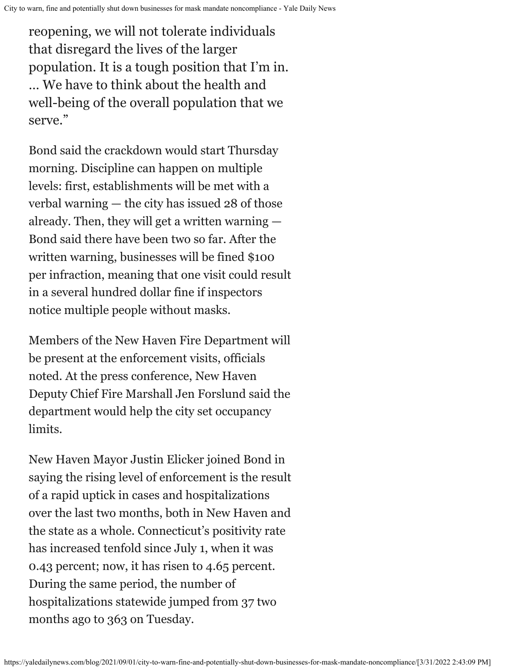reopening, we will not tolerate individuals that disregard the lives of the larger population. It is a tough position that I'm in. … We have to think about the health and well-being of the overall population that we serve."

Bond said the crackdown would start Thursday morning. Discipline can happen on multiple levels: first, establishments will be met with a verbal warning — the city has issued 28 of those already. Then, they will get a written warning — Bond said there have been two so far. After the written warning, businesses will be fined \$100 per infraction, meaning that one visit could result in a several hundred dollar fine if inspectors notice multiple people without masks.

Members of the New Haven Fire Department will be present at the enforcement visits, officials noted. At the press conference, New Haven Deputy Chief Fire Marshall Jen Forslund said the department would help the city set occupancy limits.

New Haven Mayor Justin Elicker joined Bond in saying the rising level of enforcement is the result of a rapid uptick in cases and hospitalizations over the last two months, both in New Haven and the state as a whole. Connecticut's positivity rate has increased tenfold since July 1, when it was [0.43 percent;](https://portal.ct.gov/Office-of-the-Governor/News/Press-Releases/2021/07-2021/Governor-Lamont-Coronavirus-Update-July-1) now, it has risen to [4.65](https://portal.ct.gov/Office-of-the-Governor/News/Press-Releases/2021/08-2021/Governor-Lamont-Coronavirus-Update-August-31) percent. During the same period, the number of hospitalizations statewide jumped from 37 two months ago to 363 on Tuesday.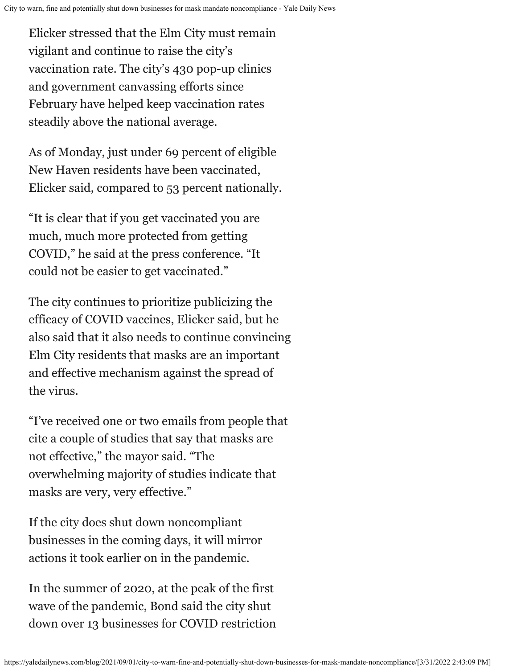Elicker stressed that the Elm City must remain vigilant and continue to raise the city's vaccination rate. The city's 430 pop-up clinics and government [canvassing efforts](https://yaledailynews.com/blog/2021/03/15/every-last-door-fair-haven-organizers-continue-vaccination-campaign/) since February have helped keep vaccination rates steadily above the national average.

As of Monday, just under 69 percent of eligible New Haven residents have been vaccinated, Elicker said, compared to 53 percent nationally.

"It is clear that if you get vaccinated you are much, much more protected from getting COVID," he said at the press conference. "It could not be easier to get vaccinated."

The city continues to prioritize publicizing the efficacy of COVID vaccines, Elicker said, but he also said that it also needs to continue convincing Elm City residents that masks are an important and effective mechanism against the spread of the virus.

"I've received one or two emails from people that cite a couple of studies that say that masks are not effective," the mayor said. "The overwhelming majority of studies indicate that masks are very, very effective."

If the city does shut down noncompliant businesses in the coming days, it will mirror actions it took earlier on in the pandemic.

In the summer of 2020, at the peak of the first wave of the pandemic, Bond said the city shut down over 13 businesses for COVID restriction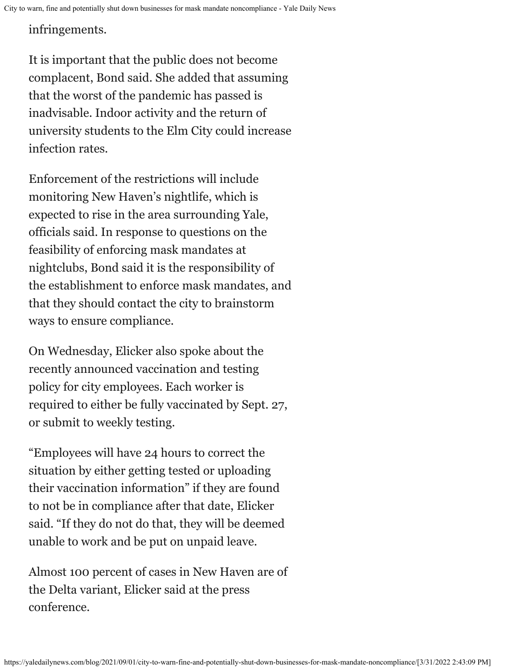infringements.

It is important that the public does not become complacent, Bond said. She added that assuming that the worst of the pandemic has passed is inadvisable. Indoor activity and the return of university students to the Elm City could increase infection rates.

Enforcement of the restrictions will include monitoring New Haven's nightlife, which is expected to rise in the area surrounding Yale, officials said. In response to questions on the feasibility of enforcing mask mandates at nightclubs, Bond said it is the responsibility of the establishment to enforce mask mandates, and that they should contact the city to brainstorm ways to ensure compliance.

On Wednesday, Elicker also spoke about the recently announced vaccination and testing policy for city employees. Each worker is required to either be fully vaccinated by Sept. 27, or submit to weekly testing.

"Employees will have 24 hours to correct the situation by either getting tested or uploading their vaccination information" if they are found to not be in compliance after that date, Elicker said. "If they do not do that, they will be deemed unable to work and be put on unpaid leave.

Almost 100 percent of cases in New Haven are of the Delta variant, Elicker said at the press conference.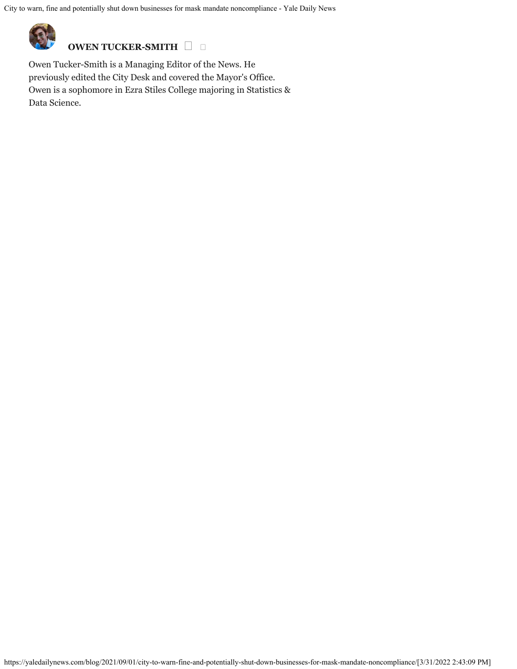

**OWEN TUCKER-SMITH** 

Owen Tucker-Smith is a Managing Editor of the News. He previously edited the City Desk and covered the Mayor's Office. Owen is a sophomore in Ezra Stiles College majoring in Statistics & Data Science.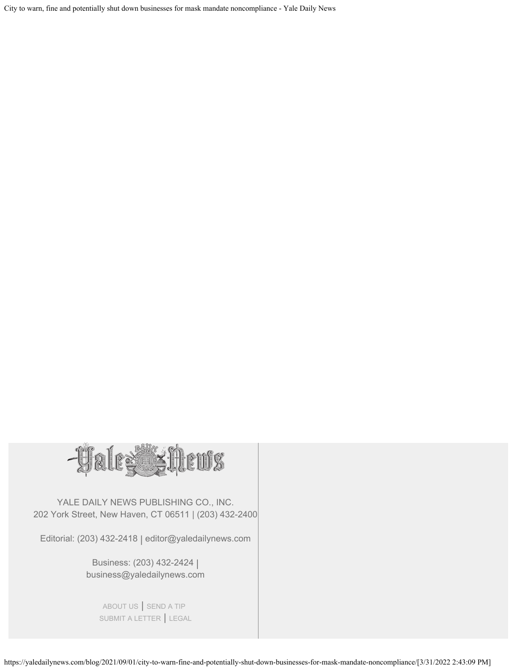

YALE DAILY NEWS PUBLISHING CO., INC. 202 York Street, New Haven, CT 06511 | (203) 432-2400

Editorial: (203) 432-2418 | editor@yaledailynews.com

Business: (203) 432-2424 | business@yaledailynews.com

[ABOUT US](https://yaledailynews.com/about-us) | [SEND A TIP](https://yaledailynews.com/tips) [SUBMIT A LETTER](https://yaledailynews.com/submissions) | [LEGAL](https://yaledailynews.com/legal-information)

https://yaledailynews.com/blog/2021/09/01/city-to-warn-fine-and-potentially-shut-down-businesses-for-mask-mandate-noncompliance/[3/31/2022 2:43:09 PM]